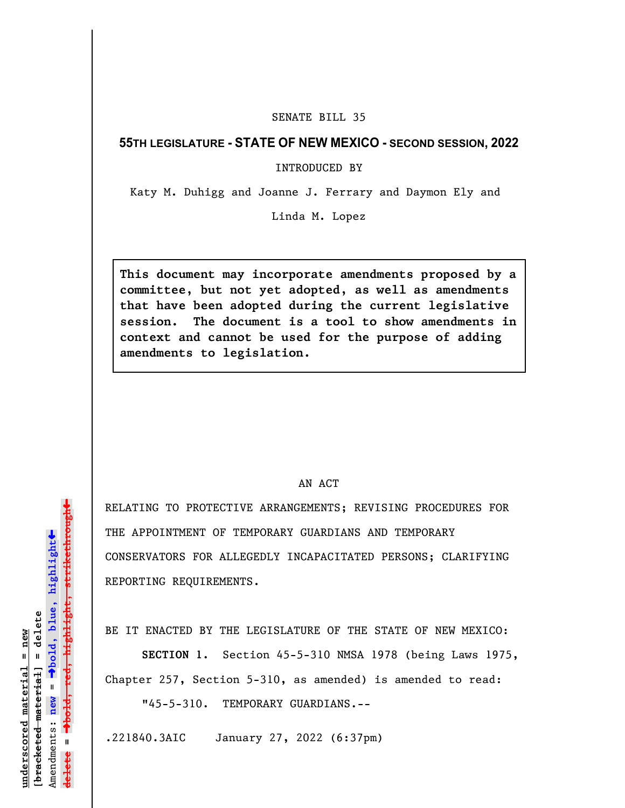## SENATE BILL 35

## **55TH LEGISLATURE - STATE OF NEW MEXICO - SECOND SESSION, 2022**

INTRODUCED BY

Katy M. Duhigg and Joanne J. Ferrary and Daymon Ely and

Linda M. Lopez

**This document may incorporate amendments proposed by a committee, but not yet adopted, as well as amendments that have been adopted during the current legislative session. The document is a tool to show amendments in context and cannot be used for the purpose of adding amendments to legislation.**

## AN ACT

RELATING TO PROTECTIVE ARRANGEMENTS; REVISING PROCEDURES FOR THE APPOINTMENT OF TEMPORARY GUARDIANS AND TEMPORARY CONSERVATORS FOR ALLEGEDLY INCAPACITATED PERSONS; CLARIFYING REPORTING REQUIREMENTS.

BE IT ENACTED BY THE LEGISLATURE OF THE STATE OF NEW MEXICO:

**SECTION 1.** Section 45-5-310 NMSA 1978 (being Laws 1975, Chapter 257, Section 5-310, as amended) is amended to read:

"45-5-310. TEMPORARY GUARDIANS.--

.221840.3AIC January 27, 2022 (6:37pm)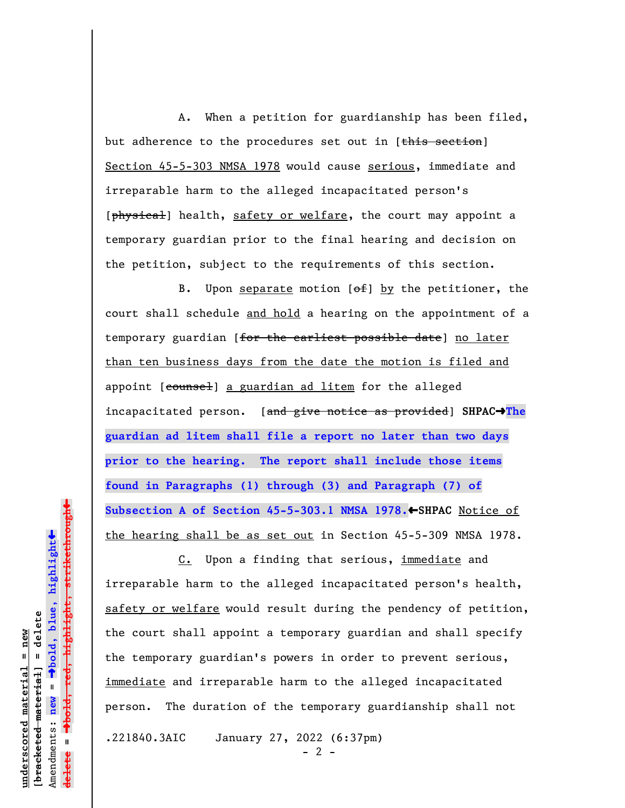A. When a petition for guardianship has been filed, but adherence to the procedures set out in [this section] Section 45-5-303 NMSA 1978 would cause serious, immediate and irreparable harm to the alleged incapacitated person's [physical] health, safety or welfare, the court may appoint a temporary guardian prior to the final hearing and decision on the petition, subject to the requirements of this section.

B. Upon separate motion  $[ $\theta$  +  $\theta$ ] by the *petitioner*, the$ court shall schedule and hold a hearing on the appointment of a temporary guardian [for the earliest possible date] no later than ten business days from the date the motion is filed and appoint [counsel] a guardian ad litem for the alleged incapacitated person. [and give notice as provided] **SHPAC**º**The guardian ad litem shall file a report no later than two days prior to the hearing. The report shall include those items found in Paragraphs (1) through (3) and Paragraph (7) of** Subsection A of Section 45-5-303.1 NMSA 1978.←SHPAC Notice of the hearing shall be as set out in Section 45-5-309 NMSA 1978.

 C. Upon a finding that serious, immediate and irreparable harm to the alleged incapacitated person's health, safety or welfare would result during the pendency of petition, the court shall appoint a temporary guardian and shall specify the temporary guardian's powers in order to prevent serious, immediate and irreparable harm to the alleged incapacitated person. The duration of the temporary guardianship shall not .221840.3AIC January 27, 2022 (6:37pm)

**underscored material = new [bracketed material] = delete**

 $b$ racketed material] = delete inderscored material = new

Amendments: **new** =

Amendments: new =

**delete =**

º**bold, blue, highlight**

º**bold, red, highlight, strikethrough**

 $\ddot{\bullet}$ 

 $\ddag$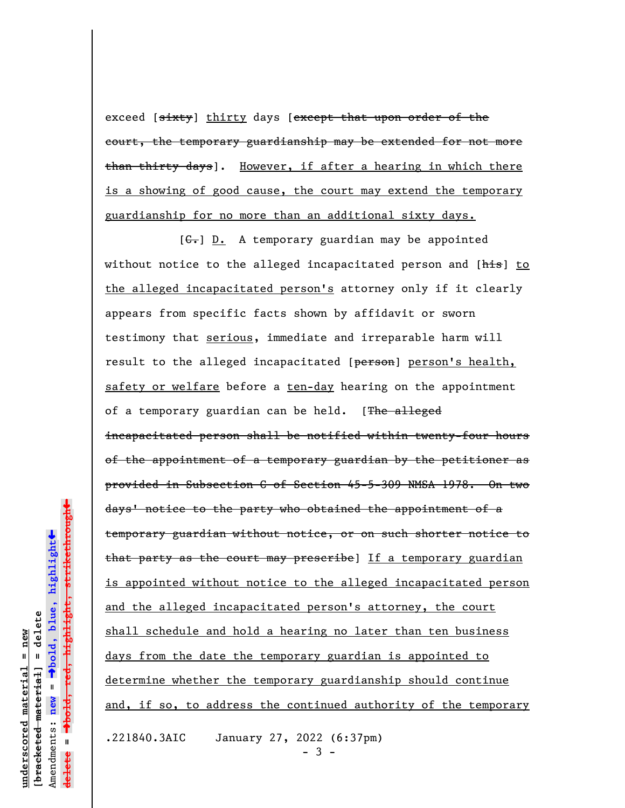exceed [sixty] thirty days [except that upon order of the court, the temporary guardianship may be extended for not more than thirty days]. However, if after a hearing in which there is a showing of good cause, the court may extend the temporary guardianship for no more than an additional sixty days.

 $[G<sub>z</sub>]$  D. A temporary guardian may be appointed without notice to the alleged incapacitated person and [his] to the alleged incapacitated person's attorney only if it clearly appears from specific facts shown by affidavit or sworn testimony that serious, immediate and irreparable harm will result to the alleged incapacitated [person] person's health, safety or welfare before a ten-day hearing on the appointment of a temporary guardian can be held. [The alleged incapacitated person shall be notified within twenty-four hours of the appointment of a temporary guardian by the petitioner as provided in Subsection C of Section 45-5-309 NMSA 1978. On two days' notice to the party who obtained the appointment of a temporary guardian without notice, or on such shorter notice to that party as the court may prescribe] If a temporary guardian is appointed without notice to the alleged incapacitated person and the alleged incapacitated person's attorney, the court shall schedule and hold a hearing no later than ten business days from the date the temporary guardian is appointed to determine whether the temporary guardianship should continue and, if so, to address the continued authority of the temporary

.221840.3AIC January 27, 2022 (6:37pm)

- 3 -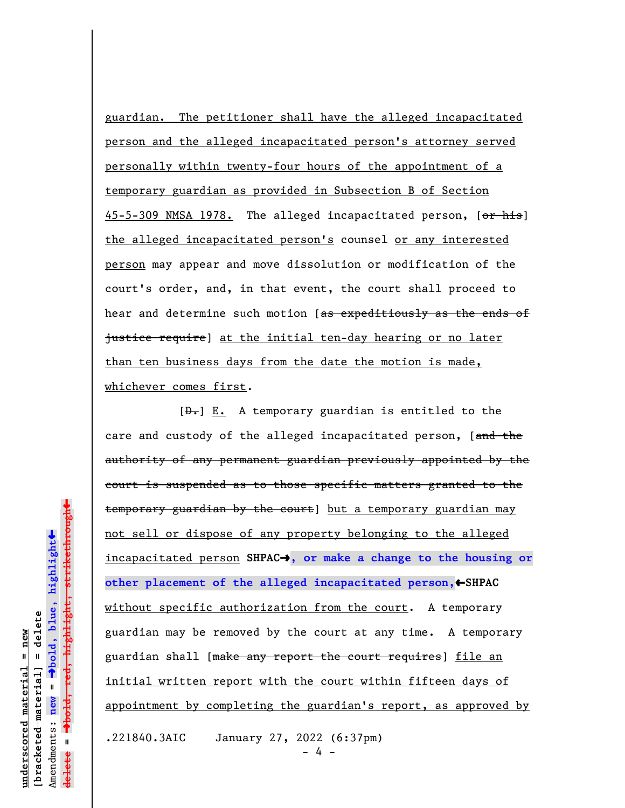guardian. The petitioner shall have the alleged incapacitated person and the alleged incapacitated person's attorney served personally within twenty-four hours of the appointment of a temporary guardian as provided in Subsection B of Section 45-5-309 NMSA 1978. The alleged incapacitated person, [or his] the alleged incapacitated person's counsel or any interested person may appear and move dissolution or modification of the court's order, and, in that event, the court shall proceed to hear and determine such motion [as expeditiously as the ends of justice require] at the initial ten-day hearing or no later than ten business days from the date the motion is made, whichever comes first.

 $[D<sub>1</sub>] E.$  A temporary guardian is entitled to the care and custody of the alleged incapacitated person, [and the authority of any permanent guardian previously appointed by the court is suspended as to those specific matters granted to the temporary guardian by the court] but a temporary guardian may not sell or dispose of any property belonging to the alleged incapacitated person **SHPAC**º**, or make a change to the housing or** other placement of the alleged incapacitated person, +SHPAC without specific authorization from the court. A temporary guardian may be removed by the court at any time. A temporary guardian shall [make any report the court requires] file an initial written report with the court within fifteen days of appointment by completing the guardian's report, as approved by .221840.3AIC January 27, 2022 (6:37pm)

 $\overline{4}$ 

º**bold, red, highlight, strikethrough** º**bold, blue, highlight**  $b$ racketed material] = delete **[bracketed material] = delete** Amendments: new = Amendments: **new** =  $\mathbf{u}$ **delete =** lelete

 $\ddot{\bullet}$ 

 $\ddag$ 

**underscored material = new**

inderscored material = new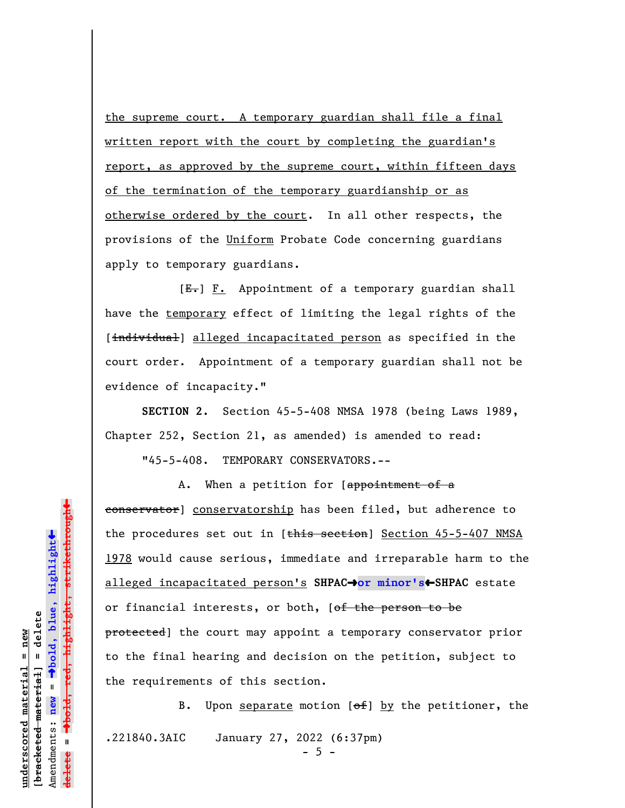the supreme court. A temporary guardian shall file a final written report with the court by completing the guardian's report, as approved by the supreme court, within fifteen days of the termination of the temporary guardianship or as otherwise ordered by the court. In all other respects, the provisions of the Uniform Probate Code concerning guardians apply to temporary guardians.

 $[E-] F.$  Appointment of a temporary guardian shall have the temporary effect of limiting the legal rights of the [individual] alleged incapacitated person as specified in the court order. Appointment of a temporary guardian shall not be evidence of incapacity."

**SECTION 2.** Section 45-5-408 NMSA 1978 (being Laws 1989, Chapter 252, Section 21, as amended) is amended to read:

"45-5-408. TEMPORARY CONSERVATORS.--

A. When a petition for [appointment of a conservator] conservatorship has been filed, but adherence to the procedures set out in [this section] Section 45-5-407 NMSA 1978 would cause serious, immediate and irreparable harm to the alleged incapacitated person's **SHPAC**º**or minor's**»**SHPAC** estate or financial interests, or both, [of the person to be protected] the court may appoint a temporary conservator prior to the final hearing and decision on the petition, subject to the requirements of this section.

B. Upon separate motion  $[ $\theta$  +  $\theta$ ] by the *petitioner*, the$ .221840.3AIC January 27, 2022 (6:37pm)  $- 5 -$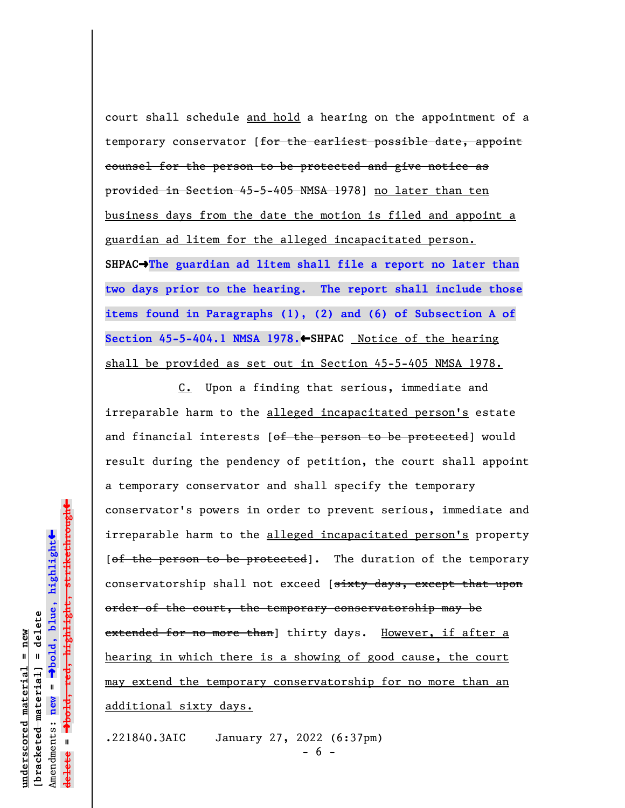court shall schedule and hold a hearing on the appointment of a temporary conservator [for the earliest possible date, appoint counsel for the person to be protected and give notice as provided in Section 45-5-405 NMSA 1978] no later than ten business days from the date the motion is filed and appoint a guardian ad litem for the alleged incapacitated person. **SHPAC**º**The guardian ad litem shall file a report no later than two days prior to the hearing. The report shall include those items found in Paragraphs (1), (2) and (6) of Subsection A of** Section 45-5-404.1 NMSA 1978.←SHPAC Notice of the hearing shall be provided as set out in Section 45-5-405 NMSA 1978.

C. Upon a finding that serious, immediate and irreparable harm to the alleged incapacitated person's estate and financial interests [of the person to be protected] would result during the pendency of petition, the court shall appoint a temporary conservator and shall specify the temporary conservator's powers in order to prevent serious, immediate and irreparable harm to the alleged incapacitated person's property [of the person to be protected]. The duration of the temporary conservatorship shall not exceed [sixty days, except that upon order of the court, the temporary conservatorship may be extended for no more than] thirty days. However, if after a hearing in which there is a showing of good cause, the court may extend the temporary conservatorship for no more than an additional sixty days.

.221840.3AIC January 27, 2022 (6:37pm) - 6 -

 $\ddag$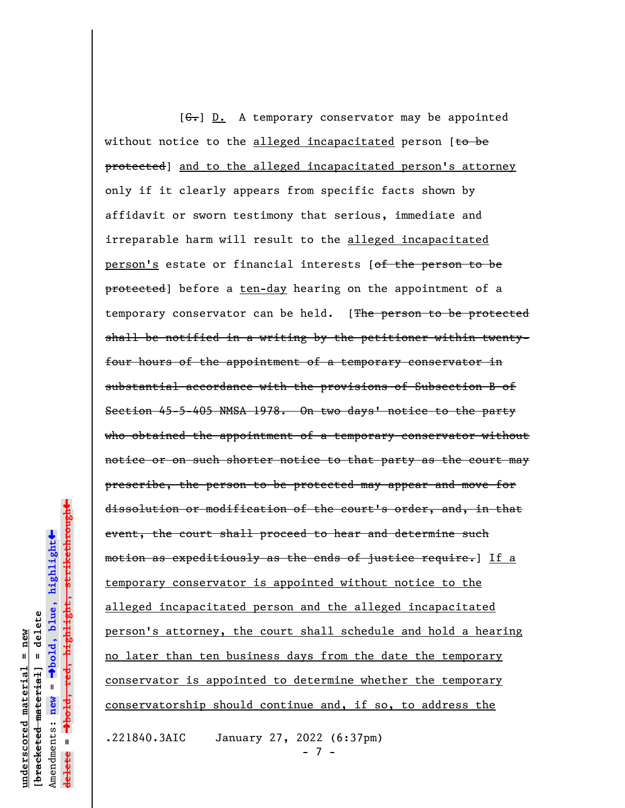[ $C$ .] D. A temporary conservator may be appointed without notice to the alleged incapacitated person  $[t\rightarrow be$ protected] and to the alleged incapacitated person's attorney only if it clearly appears from specific facts shown by affidavit or sworn testimony that serious, immediate and irreparable harm will result to the alleged incapacitated person's estate or financial interests [of the person to be protected] before a ten-day hearing on the appointment of a temporary conservator can be held. [The person to be protected shall be notified in a writing by the petitioner within twentyfour hours of the appointment of a temporary conservator in substantial accordance with the provisions of Subsection B of Section 45-5-405 NMSA 1978. On two days' notice to the party who obtained the appointment of a temporary conservator without notice or on such shorter notice to that party as the court may prescribe, the person to be protected may appear and move for dissolution or modification of the court's order, and, in that event, the court shall proceed to hear and determine such motion as expeditiously as the ends of justice require.] If a temporary conservator is appointed without notice to the alleged incapacitated person and the alleged incapacitated person's attorney, the court shall schedule and hold a hearing no later than ten business days from the date the temporary conservator is appointed to determine whether the temporary conservatorship should continue and, if so, to address the

.221840.3AIC January 27, 2022 (6:37pm)

- 7 -

Dold, red, highlight, strikethrough º**bold, red, highlight, strikethrough**  $\ddot{\bullet}$ º**bold, blue, highlight**  $b$ racketed material] = delete **[bracketed material] = delete**  $anderscored material = new$ **underscored material = new** Amendments: **new** =  $\mathbf{I}$ Amendments: new **delete =** lelete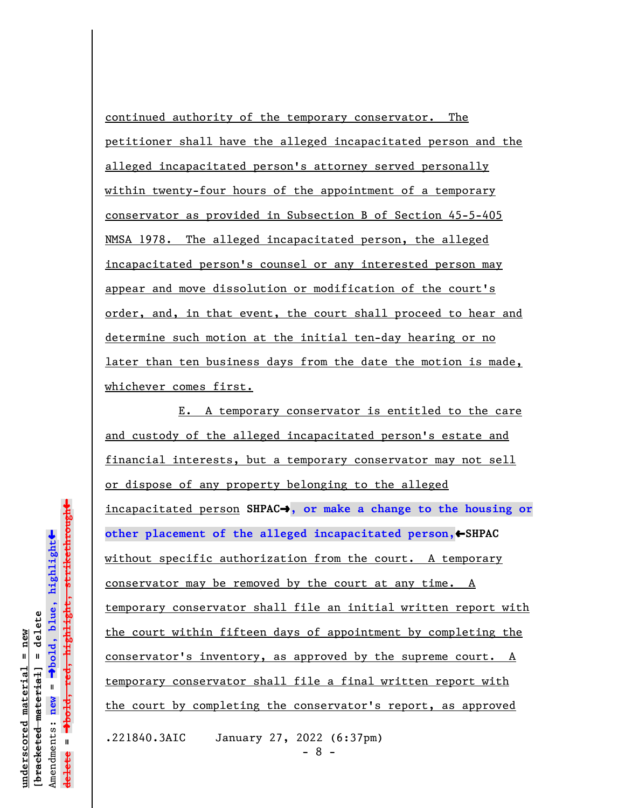continued authority of the temporary conservator. The petitioner shall have the alleged incapacitated person and the alleged incapacitated person's attorney served personally within twenty-four hours of the appointment of a temporary conservator as provided in Subsection B of Section 45-5-405 NMSA 1978. The alleged incapacitated person, the alleged incapacitated person's counsel or any interested person may appear and move dissolution or modification of the court's order, and, in that event, the court shall proceed to hear and determine such motion at the initial ten-day hearing or no later than ten business days from the date the motion is made, whichever comes first.

E. A temporary conservator is entitled to the care and custody of the alleged incapacitated person's estate and financial interests, but a temporary conservator may not sell or dispose of any property belonging to the alleged incapacitated person **SHPAC**º**, or make a change to the housing or** other placement of the alleged incapacitated person, +SHPAC without specific authorization from the court. A temporary conservator may be removed by the court at any time. A temporary conservator shall file an initial written report with the court within fifteen days of appointment by completing the conservator's inventory, as approved by the supreme court. A temporary conservator shall file a final written report with the court by completing the conservator's report, as approved .221840.3AIC January 27, 2022 (6:37pm)

- 8 -

 $\ddag$ º**bold, red, highlight, strikethrough**  $\ddot{\bullet}$ º**bold, blue, highlight**  $b$ racketed material] = delete **[bracketed material] = delete** inderscored material = new **underscored material = new** Amendments: new = Amendments: **new** =  $\mathbf{u}$ **delete =** lelete